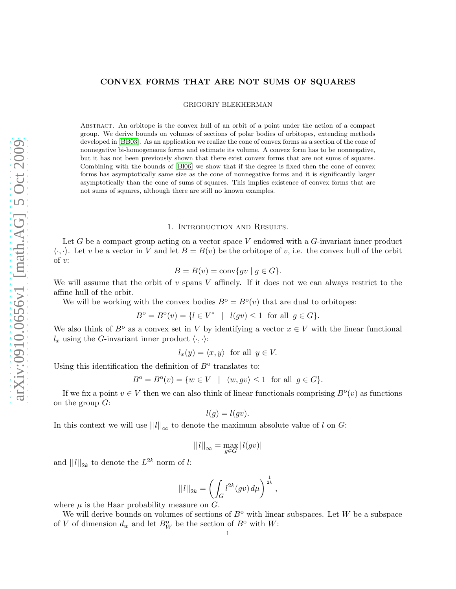## CONVEX FORMS THAT ARE NOT SUMS OF SQUARES

GRIGORIY BLEKHERMAN

Abstract. An orbitope is the convex hull of an orbit of a point under the action of a compact group. We derive bounds on volumes of sections of polar bodies of orbitopes, extending methods developed in [\[BB03\]](#page-12-0). As an application we realize the cone of convex forms as a section of the cone of nonnegative bi-homogeneous forms and estimate its volume. A convex form has to be nonnegative, but it has not been previously shown that there exist convex forms that are not sums of squares. Combining with the bounds of [\[Bl06\]](#page-12-1) we show that if the degree is fixed then the cone of convex forms has asymptotically same size as the cone of nonnegative forms and it is significantly larger asymptotically than the cone of sums of squares. This implies existence of convex forms that are not sums of squares, although there are still no known examples.

#### 1. Introduction and Results.

Let G be a compact group acting on a vector space V endowed with a G-invariant inner product  $\langle \cdot, \cdot \rangle$ . Let v be a vector in V and let  $B = B(v)$  be the orbitope of v, i.e. the convex hull of the orbit of  $v$ :

$$
B = B(v) = \text{conv}\{gv \mid g \in G\}.
$$

We will assume that the orbit of  $v$  spans  $V$  affinely. If it does not we can always restrict to the affine hull of the orbit.

We will be working with the convex bodies  $B^{\circ} = B^{\circ}(v)$  that are dual to orbitopes:

$$
B^{\circ} = B^{\circ}(v) = \{ l \in V^* \mid l(gv) \le 1 \text{ for all } g \in G \}.
$$

We also think of  $B^{\circ}$  as a convex set in V by identifying a vector  $x \in V$  with the linear functional  $l_x$  using the G-invariant inner product  $\langle \cdot, \cdot \rangle$ :

$$
l_x(y) = \langle x, y \rangle \text{ for all } y \in V.
$$

Using this identification the definition of  $B^{\text{o}}$  translates to:

$$
B^{\text{o}} = B^{\text{o}}(v) = \{ w \in V \mid \langle w, gv \rangle \le 1 \text{ for all } g \in G \}.
$$

If we fix a point  $v \in V$  then we can also think of linear functionals comprising  $B^{\circ}(v)$  as functions on the group  $G$ :

$$
l(g) = l(gv).
$$

In this context we will use  $||l||_{\infty}$  to denote the maximum absolute value of l on G:

$$
||l||_{\infty} = \max_{g \in G} |l(gv)|
$$

and  $||l||_{2k}$  to denote the  $L^{2k}$  norm of l:

$$
||l||_{2k}=\left(\int_G l^{2k}(gv)\,d\mu\right)^{\frac{1}{2k}},
$$

where  $\mu$  is the Haar probability measure on  $G$ .

We will derive bounds on volumes of sections of  $B^{\text{o}}$  with linear subspaces. Let W be a subspace of V of dimension  $d_w$  and let  $B_W^{\text{o}}$  be the section of  $B^{\text{o}}$  with W: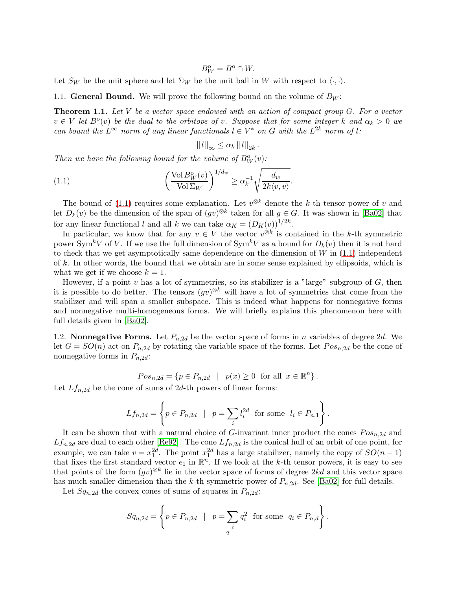$$
B_W^{\rm o}=B^{\rm o}\cap W\!math>
$$

Let  $S_W$  be the unit sphere and let  $\Sigma_W$  be the unit ball in W with respect to  $\langle \cdot, \cdot \rangle$ .

<span id="page-1-1"></span>1.1. **General Bound.** We will prove the following bound on the volume of  $B_W$ :

**Theorem 1.1.** Let V be a vector space endowed with an action of compact group  $G$ . For a vector  $v \in V$  let  $B^{\circ}(v)$  be the dual to the orbitope of v. Suppose that for some integer k and  $\alpha_k > 0$  we can bound the  $L^{\infty}$  norm of any linear functionals  $l \in V^*$  on G with the  $L^{2k}$  norm of l:

<span id="page-1-0"></span>
$$
||l||_{\infty} \leq \alpha_k ||l||_{2k}.
$$

Then we have the following bound for the volume of  $B_W^0(v)$ :

(1.1) 
$$
\left(\frac{\text{Vol} B_W^{\text{o}}(v)}{\text{Vol} \Sigma_W}\right)^{1/d_w} \ge \alpha_k^{-1} \sqrt{\frac{d_w}{2k\langle v, v\rangle}}.
$$

The bound of [\(1.1\)](#page-1-0) requires some explanation. Let  $v^{\otimes k}$  denote the k-th tensor power of v and let  $D_k(v)$  be the dimension of the span of  $(gv)^{\otimes k}$  taken for all  $g \in G$ . It was shown in [\[Ba02\]](#page-12-2) that for any linear functional l and all k we can take  $\alpha_K = (D_K(v))^{1/2k}$ .

In particular, we know that for any  $v \in V$  the vector  $v^{\otimes k}$  is contained in the k-th symmetric power Sym<sup>k</sup>V of V. If we use the full dimension of Sym<sup>k</sup>V as a bound for  $D_k(v)$  then it is not hard to check that we get asymptotically same dependence on the dimension of  $W$  in  $(1.1)$  independent of k. In other words, the bound that we obtain are in some sense explained by ellipsoids, which is what we get if we choose  $k = 1$ .

However, if a point  $v$  has a lot of symmetries, so its stabilizer is a "large" subgroup of  $G$ , then it is possible to do better. The tensors  $(gv)^{\otimes k}$  will have a lot of symmetries that come from the stabilizer and will span a smaller subspace. This is indeed what happens for nonnegative forms and nonnegative multi-homogeneous forms. We will briefly explains this phenomenon here with full details given in [\[Ba02\]](#page-12-2).

1.2. **Nonnegative Forms.** Let  $P_{n,2d}$  be the vector space of forms in n variables of degree 2d. We let  $G = SO(n)$  act on  $P_{n,2d}$  by rotating the variable space of the forms. Let  $Pos_{n,2d}$  be the cone of nonnegative forms in  $P_{n,2d}$ :

$$
Pos_{n,2d} = \{ p \in P_{n,2d} \mid p(x) \ge 0 \text{ for all } x \in \mathbb{R}^n \}.
$$

Let  $Lf_{n,2d}$  be the cone of sums of 2d-th powers of linear forms:

$$
Lf_{n,2d} = \left\{ p \in P_{n,2d} \mid p = \sum_{i} l_i^{2d} \text{ for some } l_i \in P_{n,1} \right\}.
$$

It can be shown that with a natural choice of G-invariant inner product the cones  $Pos_{n,2d}$  and  $Lf_{n,2d}$  are dual to each other [\[Re92\]](#page-12-3). The cone  $Lf_{n,2d}$  is the conical hull of an orbit of one point, for example, we can take  $v = x_1^{2d}$ . The point  $x_1^{2d}$  has a large stabilizer, namely the copy of  $SO(n-1)$ that fixes the first standard vector  $e_1$  in  $\mathbb{R}^n$ . If we look at the k-th tensor powers, it is easy to see that points of the form  $(gv)^{\otimes k}$  lie in the vector space of forms of degree  $2kd$  and this vector space has much smaller dimension than the k-th symmetric power of  $P_{n,2d}$ . See [\[Ba02\]](#page-12-2) for full details.

Let  $Sq_{n,2d}$  the convex cones of sums of squares in  $P_{n,2d}$ :

$$
Sq_{n,2d} = \left\{ p \in P_{n,2d} \mid p = \sum_{i} q_i^2 \text{ for some } q_i \in P_{n,d} \right\}.
$$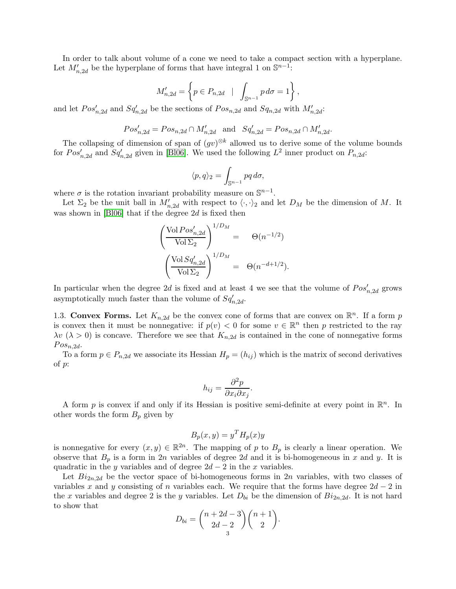In order to talk about volume of a cone we need to take a compact section with a hyperplane. Let  $M'_{n,2d}$  be the hyperplane of forms that have integral 1 on  $\mathbb{S}^{n-1}$ :

$$
M'_{n,2d} = \left\{ p \in P_{n,2d} \mid \int_{\mathbb{S}^{n-1}} p \, d\sigma = 1 \right\},\,
$$

and let  $Pos'_{n,2d}$  and  $Sq'_{n,2d}$  be the sections of  $Pos_{n,2d}$  and  $Sq_{n,2d}$  with  $M'_{n,2d}$ :

$$
Pos'_{n,2d} = Pos_{n,2d} \cap M'_{n,2d} \text{ and } Sq'_{n,2d} = Pos_{n,2d} \cap M'_{n,2d}.
$$

The collapsing of dimension of span of  $(gv)^{\otimes k}$  allowed us to derive some of the volume bounds for  $Pos'_{n,2d}$  and  $Sq'_{n,2d}$  given in [\[Bl06\]](#page-12-1). We used the following  $L^2$  inner product on  $P_{n,2d}$ :

$$
\langle p,q\rangle_2=\int_{\mathbb{S}^{n-1}}pq\,d\sigma,
$$

where  $\sigma$  is the rotation invariant probability measure on  $\mathbb{S}^{n-1}$ .

Let  $\Sigma_2$  be the unit ball in  $M'_{n,2d}$  with respect to  $\langle \cdot, \cdot \rangle_2$  and let  $D_M$  be the dimension of M. It was shown in [\[Bl06\]](#page-12-1) that if the degree 2d is fixed then

$$
\left(\frac{\text{Vol} \, Pos'_{n,2d}}{\text{Vol} \, \Sigma_2}\right)^{1/D_M} = \Theta(n^{-1/2})
$$
\n
$$
\left(\frac{\text{Vol} \, Sq'_{n,2d}}{\text{Vol} \, \Sigma_2}\right)^{1/D_M} = \Theta(n^{-d+1/2}).
$$

In particular when the degree 2d is fixed and at least 4 we see that the volume of  $Pos'_{n,2d}$  grows asymptotically much faster than the volume of  $Sq_{n,2d}'$ .

1.3. Convex Forms. Let  $K_{n,2d}$  be the convex cone of forms that are convex on  $\mathbb{R}^n$ . If a form p is convex then it must be nonnegative: if  $p(v) < 0$  for some  $v \in \mathbb{R}^n$  then p restricted to the ray  $\lambda v$  ( $\lambda > 0$ ) is concave. Therefore we see that  $K_{n,2d}$  is contained in the cone of nonnegative forms  $Pos_{n,2d}$ .

To a form  $p \in P_{n,2d}$  we associate its Hessian  $H_p = (h_{ij})$  which is the matrix of second derivatives of p:

$$
h_{ij} = \frac{\partial^2 p}{\partial x_i \partial x_j}.
$$

A form p is convex if and only if its Hessian is positive semi-definite at every point in  $\mathbb{R}^n$ . In other words the form  $B_p$  given by

$$
B_p(x, y) = y^T H_p(x) y
$$

is nonnegative for every  $(x, y) \in \mathbb{R}^{2n}$ . The mapping of p to  $B_p$  is clearly a linear operation. We observe that  $B_p$  is a form in 2n variables of degree 2d and it is bi-homogeneous in x and y. It is quadratic in the y variables and of degree  $2d - 2$  in the x variables.

Let  $Bi_{2n,2d}$  be the vector space of bi-homogeneous forms in  $2n$  variables, with two classes of variables x and y consisting of n variables each. We require that the forms have degree  $2d - 2$  in the x variables and degree 2 is the y variables. Let  $D_{bi}$  be the dimension of  $Bi_{2n,2d}$ . It is not hard to show that

$$
D_{bi} = \binom{n+2d-3}{2d-2} \binom{n+1}{2}.
$$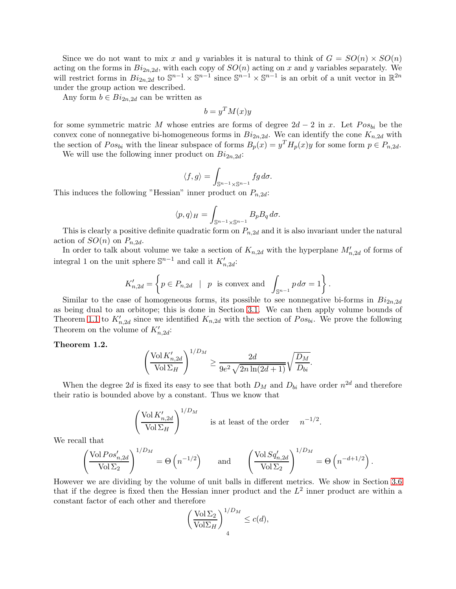Since we do not want to mix x and y variables it is natural to think of  $G = SO(n) \times SO(n)$ acting on the forms in  $Bi_{2n,2d}$ , with each copy of  $SO(n)$  acting on x and y variables separately. We will restrict forms in  $Bi_{2n,2d}$  to  $\mathbb{S}^{n-1} \times \mathbb{S}^{n-1}$  since  $\mathbb{S}^{n-1} \times \mathbb{S}^{n-1}$  is an orbit of a unit vector in  $\mathbb{R}^{2n}$ under the group action we described.

Any form  $b \in Bi_{2n,2d}$  can be written as

$$
b = y^T M(x) y
$$

for some symmetric matric M whose entries are forms of degree  $2d - 2$  in x. Let  $Pos_{bi}$  be the convex cone of nonnegative bi-homogeneous forms in  $Bi_{2n,2d}$ . We can identify the cone  $K_{n,2d}$  with the section of  $Pos_{bi}$  with the linear subspace of forms  $B_p(x) = y^T H_p(x)y$  for some form  $p \in P_{n,2d}$ .

We will use the following inner product on  $Bi_{2n,2d}$ :

$$
\langle f, g \rangle = \int_{\mathbb{S}^{n-1} \times \mathbb{S}^{n-1}} f g \, d\sigma.
$$

This induces the following "Hessian" inner product on  $P_{n,2d}$ :

$$
\langle p, q \rangle_H = \int_{\mathbb{S}^{n-1} \times \mathbb{S}^{n-1}} B_p B_q \, d\sigma.
$$

This is clearly a positive definite quadratic form on  $P_{n,2d}$  and it is also invariant under the natural action of  $SO(n)$  on  $P_{n,2d}$ .

In order to talk about volume we take a section of  $K_{n,2d}$  with the hyperplane  $M'_{n,2d}$  of forms of integral 1 on the unit sphere  $\mathbb{S}^{n-1}$  and call it  $K'_{n,2d}$ :

$$
K'_{n,2d} = \left\{ p \in P_{n,2d} \mid p \text{ is convex and } \int_{\mathbb{S}^{n-1}} p \, d\sigma = 1 \right\}.
$$

Similar to the case of homogeneous forms, its possible to see nonnegative bi-forms in  $Bi_{2n,2d}$ as being dual to an orbitope; this is done in Section [3.1.](#page-6-0) We can then apply volume bounds of Theorem [1.1](#page-1-1) to  $K'_{n,2d}$  since we identified  $K_{n,2d}$  with the section of  $Pos_{bi}$ . We prove the following Theorem on the volume of  $K'_{n,2d}$ :

#### <span id="page-3-0"></span>Theorem 1.2.

$$
\left(\frac{\operatorname{Vol}K'_{n,2d}}{\operatorname{Vol}\Sigma_H}\right)^{1/D_M} \ge \frac{2d}{9e^2\sqrt{2n\ln(2d+1)}}\sqrt{\frac{D_M}{D_{bi}}}.
$$

When the degree 2d is fixed its easy to see that both  $D_M$  and  $D_{bi}$  have order  $n^{2d}$  and therefore their ratio is bounded above by a constant. Thus we know that

$$
\left(\frac{\text{Vol}\,K'_{n,2d}}{\text{Vol}\,\Sigma_H}\right)^{1/D_M}
$$
 is at least of the order  $n^{-1/2}$ .

We recall that

$$
\left(\frac{\text{Vol} \, Pos'_{n,2d}}{\text{Vol} \, \Sigma_2}\right)^{1/D_M} = \Theta\left(n^{-1/2}\right) \quad \text{and} \quad \left(\frac{\text{Vol} \, Sq'_{n,2d}}{\text{Vol} \, \Sigma_2}\right)^{1/D_M} = \Theta\left(n^{-d+1/2}\right).
$$

However we are dividing by the volume of unit balls in different metrics. We show in Section [3.6](#page-10-0) that if the degree is fixed then the Hessian inner product and the  $L^2$  inner product are within a constant factor of each other and therefore

$$
\left(\frac{\text{Vol}\,\Sigma_2}{\text{Vol}\Sigma_H}\right)^{1/D_M} \le c(d),
$$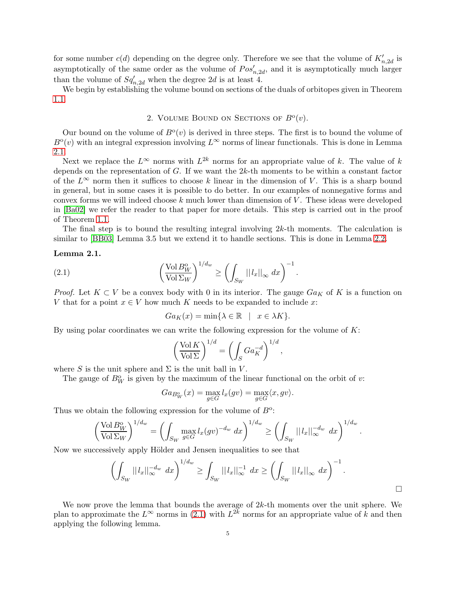for some number  $c(d)$  depending on the degree only. Therefore we see that the volume of  $K'_{n,2d}$  is asymptotically of the same order as the volume of  $Pos'_{n,2d}$ , and it is asymptotically much larger than the volume of  $Sq_{n,2d}'$  when the degree 2d is at least 4.

We begin by establishing the volume bound on sections of the duals of orbitopes given in Theorem [1.1.](#page-1-1)

# 2. VOLUME BOUND ON SECTIONS OF  $B^0(v)$ .

Our bound on the volume of  $B<sup>o</sup>(v)$  is derived in three steps. The first is to bound the volume of  $B^{\circ}(v)$  with an integral expression involving  $L^{\infty}$  norms of linear functionals. This is done in Lemma [2.1.](#page-4-0)

Next we replace the  $L^{\infty}$  norms with  $L^{2k}$  norms for an appropriate value of k. The value of k depends on the representation of  $G$ . If we want the  $2k$ -th moments to be within a constant factor of the  $L^{\infty}$  norm then it suffices to choose k linear in the dimension of V. This is a sharp bound in general, but in some cases it is possible to do better. In our examples of nonnegative forms and convex forms we will indeed choose  $k$  much lower than dimension of  $V$ . These ideas were developed in [\[Ba02\]](#page-12-2) we refer the reader to that paper for more details. This step is carried out in the proof of Theorem [1.1.](#page-1-1)

<span id="page-4-0"></span>The final step is to bound the resulting integral involving  $2k$ -th moments. The calculation is similar to  $[BB03]$  Lemma 3.5 but we extend it to handle sections. This is done in Lemma [2.2.](#page-4-1)

## Lemma 2.1.

(2.1) 
$$
\left(\frac{\text{Vol } B_W^{\text{o}}}{\text{Vol } \Sigma_W}\right)^{1/d_w} \ge \left(\int_{S_W} ||l_x||_{\infty} dx\right)^{-1}.
$$

*Proof.* Let  $K \subset V$  be a convex body with 0 in its interior. The gauge  $Ga_K$  of K is a function on V that for a point  $x \in V$  how much K needs to be expanded to include x:

<span id="page-4-2"></span>
$$
Ga_K(x) = \min\{\lambda \in \mathbb{R} \mid x \in \lambda K\}.
$$

By using polar coordinates we can write the following expression for the volume of  $K$ :

$$
\left(\frac{\text{Vol}\,K}{\text{Vol}\,\Sigma}\right)^{1/d} = \left(\int_S G a_K^{-d}\right)^{1/d},\,
$$

where S is the unit sphere and  $\Sigma$  is the unit ball in V.

The gauge of  $B_W^0$  is given by the maximum of the linear functional on the orbit of v:

$$
Ga_{B_W^o}(x) = \max_{g \in G} l_x(gv) = \max_{g \in G} \langle x, gv \rangle.
$$

Thus we obtain the following expression for the volume of  $B^{\circ}$ :

$$
\left(\frac{\text{Vol } B_W^0}{\text{Vol } \Sigma_W}\right)^{1/d_w} = \left(\int_{S_W} \max_{g \in G} l_x(gv)^{-d_w} dx\right)^{1/d_w} \ge \left(\int_{S_W} ||l_x||_{\infty}^{-d_w} dx\right)^{1/d_w}.
$$

Now we successively apply Hölder and Jensen inequalities to see that

$$
\left(\int_{S_W} ||l_x||_{\infty}^{-d_w} dx\right)^{1/d_w} \ge \int_{S_W} ||l_x||_{\infty}^{-1} dx \ge \left(\int_{S_W} ||l_x||_{\infty} dx\right)^{-1}.
$$

<span id="page-4-1"></span>We now prove the lemma that bounds the average of  $2k$ -th moments over the unit sphere. We plan to approximate the  $L^{\infty}$  norms in [\(2.1\)](#page-4-2) with  $L^{2\bar{k}}$  norms for an appropriate value of  $\bar{k}$  and then applying the following lemma.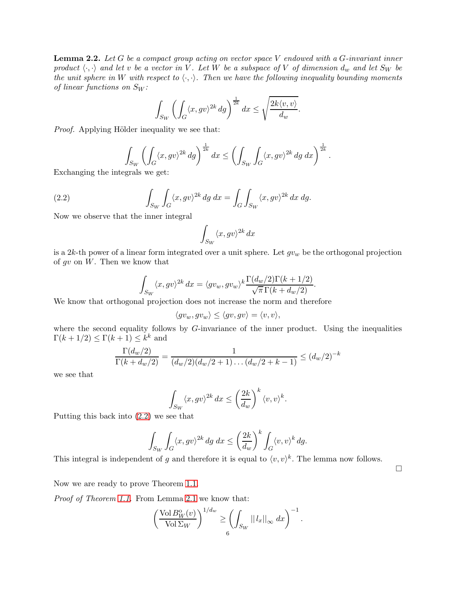**Lemma 2.2.** Let G be a compact group acting on vector space V endowed with a G-invariant inner product  $\langle \cdot, \cdot \rangle$  and let v be a vector in V. Let W be a subspace of V of dimension  $d_w$  and let  $S_W$  be the unit sphere in W with respect to  $\langle \cdot, \cdot \rangle$ . Then we have the following inequality bounding moments of linear functions on  $S_W$ :

$$
\int_{S_W} \left( \int_G \langle x, g v \rangle^{2k} \, dg \right)^{\frac{1}{2k}} dx \le \sqrt{\frac{2k \langle v, v \rangle}{d_w}}.
$$

*Proof.* Applying Hölder inequality we see that:

<span id="page-5-0"></span>
$$
\int_{S_W} \left( \int_G \langle x, gv \rangle^{2k} dg \right)^{\frac{1}{2k}} dx \le \left( \int_{S_W} \int_G \langle x, gv \rangle^{2k} dg dx \right)^{\frac{1}{2k}}.
$$
  
versals we set:

Exchanging the integrals we get:

(2.2) 
$$
\int_{S_W} \int_G \langle x, gv \rangle^{2k} dg dx = \int_G \int_{S_W} \langle x, gv \rangle^{2k} dx dg.
$$

Now we observe that the inner integral

$$
\int_{S_W} \langle x, gv \rangle^{2k} dx
$$

is a 2k-th power of a linear form integrated over a unit sphere. Let  $gv_w$  be the orthogonal projection of  $gv$  on  $W$ . Then we know that

$$
\int_{Sw} \langle x, gv \rangle^{2k} dx = \langle gv_w, gv_w \rangle^k \frac{\Gamma(d_w/2) \Gamma(k + 1/2)}{\sqrt{\pi} \Gamma(k + d_w/2)}.
$$

We know that orthogonal projection does not increase the norm and therefore

$$
\langle gv_w, gv_w \rangle \le \langle gv, gv \rangle = \langle v, v \rangle,
$$

where the second equality follows by  $G$ -invariance of the inner product. Using the inequalities  $\Gamma(k+1/2) \leq \Gamma(k+1) \leq k^k$  and

$$
\frac{\Gamma(d_w/2)}{\Gamma(k+d_w/2)} = \frac{1}{(d_w/2)(d_w/2+1)\dots(d_w/2+k-1)} \le (d_w/2)^{-k}
$$

we see that

$$
\int_{S_W} \langle x, gv \rangle^{2k} dx \le \left(\frac{2k}{d_w}\right)^k \langle v, v \rangle^k.
$$

Putting this back into [\(2.2\)](#page-5-0) we see that

$$
\int_{S_W} \int_G \langle x, gv \rangle^{2k} dg \, dx \le \left(\frac{2k}{d_w}\right)^k \int_G \langle v, v \rangle^k dg.
$$

This integral is independent of g and therefore it is equal to  $\langle v, v \rangle^k$ . The lemma now follows.

 $\Box$ 

Now we are ready to prove Theorem [1.1.](#page-1-0)

Proof of Theorem [1.1.](#page-1-1) From Lemma [2.1](#page-4-0) we know that:

$$
\left(\frac{\text{Vol}\,B_W^0(v)}{\text{Vol}\,\Sigma_W}\right)^{1/d_w} \ge \left(\int_{S_W} ||l_x||_{\infty}\,dx\right)^{-1}.
$$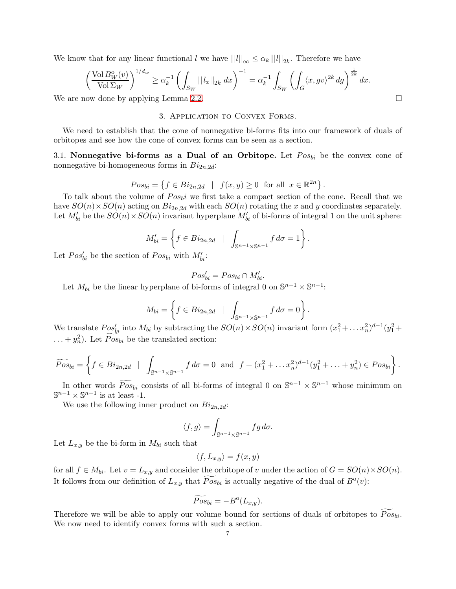We know that for any linear functional l we have  $||l||_{\infty} \leq \alpha_k ||l||_{2k}$ . Therefore we have

$$
\left(\frac{\operatorname{Vol}B_W^o(v)}{\operatorname{Vol}\Sigma_W}\right)^{1/d_w} \ge \alpha_k^{-1} \left(\int_{S_W} ||l_x||_{2k} dx\right)^{-1} = \alpha_k^{-1} \int_{S_W} \left(\int_G \langle x, g v \rangle^{2k} dg\right)^{\frac{1}{2k}} dx.
$$

We are now done by applying Lemma [2.2.](#page-4-1)

### 3. Application to Convex Forms.

We need to establish that the cone of nonnegative bi-forms fits into our framework of duals of orbitopes and see how the cone of convex forms can be seen as a section.

<span id="page-6-0"></span>3.1. Nonnegative bi-forms as a Dual of an Orbitope. Let  $Pos_{bi}$  be the convex cone of nonnegative bi-homogeneous forms in  $Bi_{2n,2d}$ :

$$
Pos_{bi} = \{ f \in Bi_{2n,2d} \mid f(x,y) \ge 0 \text{ for all } x \in \mathbb{R}^{2n} \}.
$$

To talk about the volume of  $Pos_{bi}$  we first take a compact section of the cone. Recall that we have  $SO(n) \times SO(n)$  acting on  $Bi_{2n,2d}$  with each  $SO(n)$  rotating the x and y coordinates separately. Let  $M'_{bi}$  be the  $SO(n) \times SO(n)$  invariant hyperplane  $M'_{bi}$  of bi-forms of integral 1 on the unit sphere:

$$
M'_{bi} = \left\{ f \in Bi_{2n,2d} \mid \int_{\mathbb{S}^{n-1} \times \mathbb{S}^{n-1}} f d\sigma = 1 \right\}.
$$

Let  $Pos'_{bi}$  be the section of  $Pos_{bi}$  with  $M'_{bi}$ :

$$
Pos'_{bi} = Pos_{bi} \cap M'_{bi}.
$$

Let  $M_{bi}$  be the linear hyperplane of bi-forms of integral 0 on  $\mathbb{S}^{n-1} \times \mathbb{S}^{n-1}$ :

$$
M_{bi} = \left\{ f \in Bi_{2n,2d} \mid \int_{\mathbb{S}^{n-1} \times \mathbb{S}^{n-1}} f d\sigma = 0 \right\}.
$$

We translate  $Pos'_{bi}$  into  $M_{bi}$  by subtracting the  $SO(n) \times SO(n)$  invariant form  $(x_1^2 + ... x_n^2)^{d-1}(y_1^2 + ... + y_n^2)$  $\dots + y_n^2$ ). Let  $\widetilde{Pos}_{bi}$  be the translated section:

$$
\widetilde{Pos}_{bi} = \left\{ f \in Bi_{2n,2d} \mid \int_{\mathbb{S}^{n-1} \times \mathbb{S}^{n-1}} f \, d\sigma = 0 \text{ and } f + (x_1^2 + \dots + x_n^2)^{d-1} (y_1^2 + \dots + y_n^2) \in Pos_{bi} \right\}.
$$

In other words  $\widetilde{Pos}_{bi}$  consists of all bi-forms of integral 0 on  $\mathbb{S}^{n-1} \times \mathbb{S}^{n-1}$  whose minimum on  $\mathbb{S}^{n-1} \times \mathbb{S}^{n-1}$  is at least -1.

We use the following inner product on  $Bi_{2n,2d}$ :

$$
\langle f, g \rangle = \int_{\mathbb{S}^{n-1} \times \mathbb{S}^{n-1}} f g \, d\sigma.
$$

Let  $L_{x,y}$  be the bi-form in  $M_{bi}$  such that

$$
\langle f, L_{x,y} \rangle = f(x,y)
$$

for all  $f \in M_{bi}$ . Let  $v = L_{x,y}$  and consider the orbitope of v under the action of  $G = SO(n) \times SO(n)$ . It follows from our definition of  $L_{x,y}$  that  $\widetilde{Pos}_{bi}$  is actually negative of the dual of  $B^{\circ}(v)$ :

$$
\widetilde{Pos}_{bi} = -B^{\mathrm{o}}(L_{x,y}).
$$

Therefore we will be able to apply our volume bound for sections of duals of orbitopes to  $Pos_{bi}$ . We now need to identify convex forms with such a section.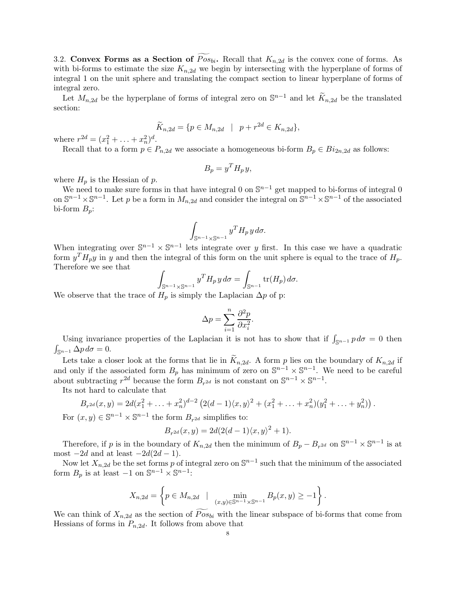<span id="page-7-0"></span>3.2. Convex Forms as a Section of  $Pos_{bi}$ . Recall that  $K_{n,2d}$  is the convex cone of forms. As with bi-forms to estimate the size  $K_{n,2d}$  we begin by intersecting with the hyperplane of forms of integral 1 on the unit sphere and translating the compact section to linear hyperplane of forms of integral zero.

Let  $M_{n,2d}$  be the hyperplane of forms of integral zero on  $\mathbb{S}^{n-1}$  and let  $\widetilde{K}_{n,2d}$  be the translated section:

$$
\widetilde{K}_{n,2d} = \{ p \in M_{n,2d} \mid p + r^{2d} \in K_{n,2d} \},
$$

where  $r^{2d} = (x_1^2 + \ldots + x_n^2)^d$ .

Recall that to a form  $p \in P_{n,2d}$  we associate a homogeneous bi-form  $B_p \in Bi_{2n,2d}$  as follows:

$$
B_p = y^T H_p y,
$$

where  $H_p$  is the Hessian of p.

We need to make sure forms in that have integral 0 on  $\mathbb{S}^{n-1}$  get mapped to bi-forms of integral 0 on  $\mathbb{S}^{n-1}\times\mathbb{S}^{n-1}$ . Let p be a form in  $M_{n,2d}$  and consider the integral on  $\mathbb{S}^{n-1}\times\mathbb{S}^{n-1}$  of the associated bi-form  $B_p$ :

$$
\int_{\mathbb{S}^{n-1}\times\mathbb{S}^{n-1}} y^T H_p \, y \, d\sigma.
$$

When integrating over  $\mathbb{S}^{n-1} \times \mathbb{S}^{n-1}$  lets integrate over y first. In this case we have a quadratic form  $y^T H_p y$  in y and then the integral of this form on the unit sphere is equal to the trace of  $H_p$ . Therefore we see that

$$
\int_{\mathbb{S}^{n-1}\times\mathbb{S}^{n-1}} y^T H_p y d\sigma = \int_{\mathbb{S}^{n-1}} \text{tr}(H_p) d\sigma.
$$

We observe that the trace of  $H_p$  is simply the Laplacian  $\Delta p$  of p:

$$
\Delta p = \sum_{i=1}^{n} \frac{\partial^2 p}{\partial x_i^2}.
$$

Using invariance properties of the Laplacian it is not has to show that if  $\int_{\mathbb{S}^{n-1}} p d\sigma = 0$  then  $\int_{\mathbb{S}^{n-1}} \Delta p \, d\sigma = 0.$ 

Lets take a closer look at the forms that lie in  $K_{n,2d}$ . A form p lies on the boundary of  $K_{n,2d}$  if and only if the associated form  $B_p$  has minimum of zero on  $\mathbb{S}^{n-1} \times \mathbb{S}^{n-1}$ . We need to be careful about subtracting  $r^{2d}$  because the form  $B_{r^{2d}}$  is not constant on  $\mathbb{S}^{n-1} \times \mathbb{S}^{n-1}$ .

Its not hard to calculate that

$$
B_{r^{2d}}(x,y) = 2d(x_1^2 + \ldots + x_n^2)^{d-2} \left( 2(d-1)\langle x,y\rangle^2 + (x_1^2 + \ldots + x_n^2)(y_1^2 + \ldots + y_n^2) \right).
$$

For  $(x, y) \in \mathbb{S}^{n-1} \times \mathbb{S}^{n-1}$  the form  $B_{r^{2d}}$  simplifies to:

$$
B_{r^{2d}}(x,y) = 2d(2(d-1)\langle x,y\rangle^{2} + 1).
$$

Therefore, if p is in the boundary of  $K_{n,2d}$  then the minimum of  $B_p - B_{r^{2d}}$  on  $\mathbb{S}^{n-1} \times \mathbb{S}^{n-1}$  is at most  $-2d$  and at least  $-2d(2d-1)$ .

Now let  $X_{n,2d}$  be the set forms p of integral zero on  $\mathbb{S}^{n-1}$  such that the minimum of the associated form  $B_p$  is at least  $-1$  on  $\mathbb{S}^{n-1} \times \mathbb{S}^{n-1}$ :

$$
X_{n,2d} = \left\{ p \in M_{n,2d} \mid \min_{(x,y) \in \mathbb{S}^{n-1} \times \mathbb{S}^{n-1}} B_p(x,y) \ge -1 \right\}.
$$

We can think of  $X_{n,2d}$  as the section of  $\widetilde{Pos}_{bi}$  with the linear subspace of bi-forms that come from Hessians of forms in  $P_{n,2d}$ . It follows from above that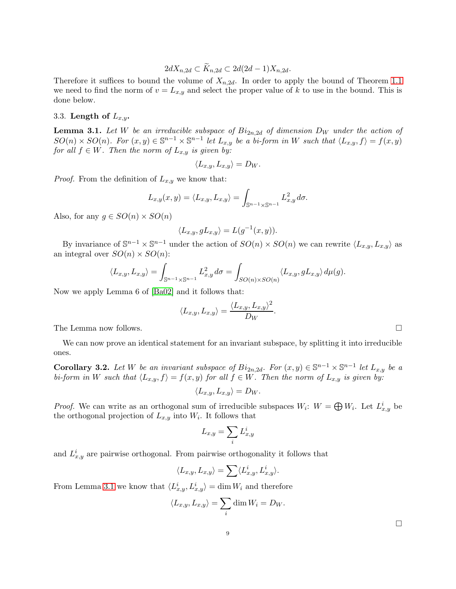$$
2dX_{n,2d} \subset K_{n,2d} \subset 2d(2d-1)X_{n,2d}.
$$

Therefore it suffices to bound the volume of  $X_{n,2d}$ . In order to apply the bound of Theorem [1.1](#page-1-1) we need to find the norm of  $v = L_{x,y}$  and select the proper value of k to use in the bound. This is done below.

## <span id="page-8-0"></span>3.3. Length of  $L_{x,y}$ .

**Lemma 3.1.** Let W be an irreducible subspace of  $Bi_{2n,2d}$  of dimension  $D_W$  under the action of  $SO(n) \times SO(n)$ . For  $(x, y) \in \mathbb{S}^{n-1} \times \mathbb{S}^{n-1}$  let  $L_{x,y}$  be a bi-form in W such that  $\langle L_{x,y}, f \rangle = f(x, y)$ for all  $f \in W$ . Then the norm of  $L_{x,y}$  is given by:

$$
\langle L_{x,y}, L_{x,y}\rangle = D_W.
$$

*Proof.* From the definition of  $L_{x,y}$  we know that:

$$
L_{x,y}(x,y) = \langle L_{x,y}, L_{x,y} \rangle = \int_{\mathbb{S}^{n-1} \times \mathbb{S}^{n-1}} L_{x,y}^2 d\sigma.
$$

Also, for any  $q \in SO(n) \times SO(n)$ 

$$
\langle L_{x,y}, gL_{x,y} \rangle = L(g^{-1}(x,y)).
$$

By invariance of  $\mathbb{S}^{n-1} \times \mathbb{S}^{n-1}$  under the action of  $SO(n) \times SO(n)$  we can rewrite  $\langle L_{x,y}, L_{x,y} \rangle$  as an integral over  $SO(n) \times SO(n)$ :

$$
\langle L_{x,y}, L_{x,y} \rangle = \int_{\mathbb{S}^{n-1} \times \mathbb{S}^{n-1}} L_{x,y}^2 d\sigma = \int_{SO(n) \times SO(n)} \langle L_{x,y}, g L_{x,y} \rangle d\mu(g).
$$

Now we apply Lemma 6 of [\[Ba02\]](#page-12-2) and it follows that:

$$
\langle L_{x,y}, L_{x,y} \rangle = \frac{\langle L_{x,y}, L_{x,y} \rangle^2}{D_W}.
$$

The Lemma now follows.

<span id="page-8-1"></span>We can now prove an identical statement for an invariant subspace, by splitting it into irreducible ones.

**Corollary 3.2.** Let W be an invariant subspace of  $Bi_{2n,2d}$ . For  $(x, y) \in \mathbb{S}^{n-1} \times \mathbb{S}^{n-1}$  let  $L_{x,y}$  be a bi-form in W such that  $\langle L_{x,y}, f \rangle = f(x,y)$  for all  $f \in W$ . Then the norm of  $L_{x,y}$  is given by:

$$
\langle L_{x,y}, L_{x,y}\rangle = D_W.
$$

*Proof.* We can write as an orthogonal sum of irreducible subspaces  $W_i$ :  $W = \bigoplus W_i$ . Let  $L^i_{x,y}$  be the orthogonal projection of  $L_{x,y}$  into  $W_i$ . It follows that

$$
L_{x,y} = \sum_i L_{x,y}^i
$$

and  $L_{x,y}^{i}$  are pairwise orthogonal. From pairwise orthogonality it follows that

$$
\langle L_{x,y}, L_{x,y} \rangle = \sum \langle L_{x,y}^i, L_{x,y}^i \rangle.
$$

From Lemma [3.1](#page-8-0) we know that  $\langle L^i_{x,y}, L^i_{x,y} \rangle = \dim W_i$  and therefore

$$
\langle L_{x,y}, L_{x,y} \rangle = \sum_i \dim W_i = D_W.
$$

 $\Box$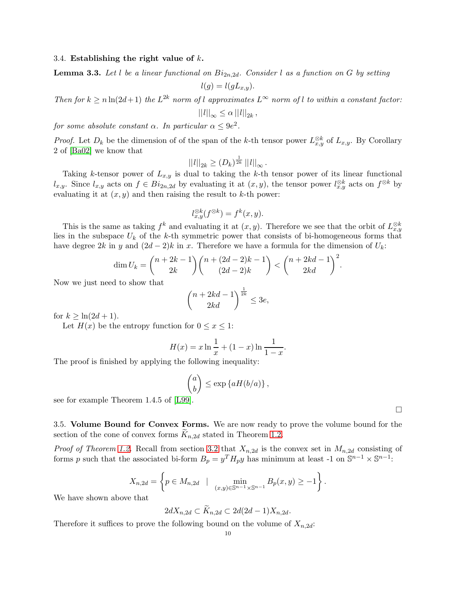#### <span id="page-9-0"></span>3.4. Establishing the right value of  $k$ .

**Lemma 3.3.** Let l be a linear functional on  $Bi_{2n,2d}$ . Consider l as a function on G by setting

$$
l(g) = l(gL_{x,y}).
$$

Then for  $k \ge n \ln(2d+1)$  the  $L^{2k}$  norm of l approximates  $L^{\infty}$  norm of l to within a constant factor:

$$
||l||_{\infty} \leq \alpha ||l||_{2k},
$$

for some absolute constant  $\alpha$ . In particular  $\alpha \leq 9e^2$ .

*Proof.* Let  $D_k$  be the dimension of of the span of the k-th tensor power  $L_{x,y}^{\otimes k}$  of  $L_{x,y}$ . By Corollary 2 of [\[Ba02\]](#page-12-2) we know that

$$
||l||_{2k} \ge (D_k)^{\frac{1}{2k}} ||l||_{\infty}.
$$

Taking k-tensor power of  $L_{x,y}$  is dual to taking the k-th tensor power of its linear functional  $l_{x,y}$ . Since  $l_{x,y}$  acts on  $f \in Bi_{2n,2d}$  by evaluating it at  $(x, y)$ , the tensor power  $l_{x,y}^{\otimes k}$  acts on  $f^{\otimes k}$  by evaluating it at  $(x, y)$  and then raising the result to k-th power:

$$
l_{x,y}^{\otimes k}(f^{\otimes k}) = f^k(x,y).
$$

This is the same as taking  $f^k$  and evaluating it at  $(x, y)$ . Therefore we see that the orbit of  $L_{x,y}^{\otimes k}$ lies in the subspace  $U_k$  of the k-th symmetric power that consists of bi-homogeneous forms that have degree 2k in y and  $(2d - 2)k$  in x. Therefore we have a formula for the dimension of  $U_k$ :

$$
\dim U_k = \binom{n+2k-1}{2k} \binom{n+(2d-2)k-1}{(2d-2)k} < \binom{n+2kd-1}{2kd}^2.
$$

Now we just need to show that

$$
\binom{n+2kd-1}{2kd}^{\frac{1}{2k}}\leq 3e,
$$

for  $k \geq \ln(2d+1)$ .

Let  $H(x)$  be the entropy function for  $0 \leq x \leq 1$ :

$$
H(x) = x \ln \frac{1}{x} + (1 - x) \ln \frac{1}{1 - x}.
$$

The proof is finished by applying the following inequality:

$$
\binom{a}{b} \le \exp\left\{aH(b/a)\right\},\,
$$

see for example Theorem 1.4.5 of [\[L99\]](#page-12-4).

3.5. Volume Bound for Convex Forms. We are now ready to prove the volume bound for the section of the cone of convex forms  $K_{n,2d}$  stated in Theorem [1.2.](#page-3-0)

*Proof of Theorem [1.2.](#page-3-0)* Recall from section [3.2](#page-7-0) that  $X_{n,2d}$  is the convex set in  $M_{n,2d}$  consisting of forms p such that the associated bi-form  $B_p = y^T H_p y$  has minimum at least -1 on  $\mathbb{S}^{n-1} \times \mathbb{S}^{n-1}$ .

$$
X_{n,2d} = \left\{ p \in M_{n,2d} \mid \min_{(x,y) \in \mathbb{S}^{n-1} \times \mathbb{S}^{n-1}} B_p(x,y) \ge -1 \right\}.
$$

We have shown above that

$$
2dX_{n,2d} \subset \tilde{K}_{n,2d} \subset 2d(2d-1)X_{n,2d}.
$$

Therefore it suffices to prove the following bound on the volume of  $X_{n,2d}$ :

 $\Box$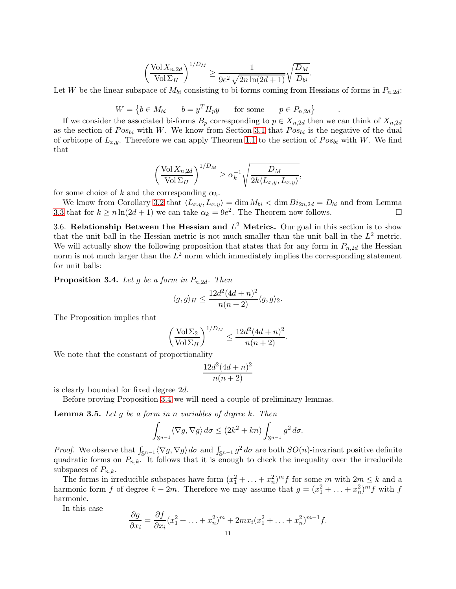$$
\left(\frac{\text{Vol}X_{n,2d}}{\text{Vol}\,\Sigma_H}\right)^{1/D_M} \ge \frac{1}{9e^2\sqrt{2n\ln(2d+1)}}\sqrt{\frac{D_M}{D_{bi}}}.
$$

Let W be the linear subspace of  $M_{bi}$  consisting to bi-forms coming from Hessians of forms in  $P_{n,2d}$ :

.

$$
W = \left\{ b \in M_{bi} \mid b = y^T H_p y \quad \text{for some} \quad p \in P_{n,2d} \right\}
$$

If we consider the associated bi-forms  $B_p$  corresponding to  $p \in X_{n,2d}$  then we can think of  $X_{n,2d}$ as the section of  $Pos_{bi}$  with W. We know from Section [3.1](#page-6-0) that  $Pos_{bi}$  is the negative of the dual of orbitope of  $L_{x,y}$ . Therefore we can apply Theorem [1.1](#page-1-1) to the section of  $Pos_{bi}$  with W. We find that

$$
\left(\frac{\text{Vol} X_{n,2d}}{\text{Vol} \Sigma_H}\right)^{1/D_M} \ge \alpha_k^{-1} \sqrt{\frac{D_M}{2k \langle L_{x,y}, L_{x,y} \rangle}},
$$

for some choice of k and the corresponding  $\alpha_k$ .

We know from Corollary [3.2](#page-8-1) that  $\langle L_{x,y}, L_{x,y} \rangle = \dim M_{bi} < \dim Bi_{2n,2d} = D_{bi}$  and from Lemma [3.3](#page-9-0) that for  $k \ge n \ln(2d+1)$  we can take  $\alpha_k = 9e^2$ . The Theorem now follows.

<span id="page-10-0"></span>3.6. Relationship Between the Hessian and  $L^2$  Metrics. Our goal in this section is to show that the unit ball in the Hessian metric is not much smaller than the unit ball in the  $L^2$  metric. We will actually show the following proposition that states that for any form in  $P_{n,2d}$  the Hessian norm is not much larger than the  $L^2$  norm which immediately implies the corresponding statement for unit balls:

<span id="page-10-1"></span>**Proposition 3.4.** Let g be a form in  $P_{n,2d}$ . Then

$$
\langle g, g \rangle_H \le \frac{12d^2(4d+n)^2}{n(n+2)} \langle g, g \rangle_2.
$$

The Proposition implies that

$$
\left(\frac{\operatorname{Vol}\Sigma_2}{\operatorname{Vol}\Sigma_H}\right)^{1/D_M} \le \frac{12d^2(4d+n)^2}{n(n+2)}.
$$

We note that the constant of proportionality

$$
\frac{12d^2(4d+n)^2}{n(n+2)}
$$

is clearly bounded for fixed degree 2d.

<span id="page-10-2"></span>Before proving Proposition [3.4](#page-10-1) we will need a couple of preliminary lemmas.

**Lemma 3.5.** Let g be a form in n variables of degree  $k$ . Then

$$
\int_{\mathbb{S}^{n-1}} \langle \nabla g, \nabla g \rangle d\sigma \le (2k^2 + kn) \int_{\mathbb{S}^{n-1}} g^2 d\sigma.
$$

*Proof.* We observe that  $\int_{\mathbb{S}^{n-1}} \langle \nabla g, \nabla g \rangle d\sigma$  and  $\int_{\mathbb{S}^{n-1}} g^2 d\sigma$  are both  $SO(n)$ -invariant positive definite quadratic forms on  $P_{n,k}$ . It follows that it is enough to check the inequality over the irreducible subspaces of  $P_{n,k}$ .

The forms in irreducible subspaces have form  $(x_1^2 + \ldots + x_n^2)^m f$  for some m with  $2m \leq k$  and a harmonic form f of degree  $k - 2m$ . Therefore we may assume that  $g = (x_1^2 + \ldots + x_n^2)^m f$  with f harmonic.

In this case

$$
\frac{\partial g}{\partial x_i} = \frac{\partial f}{\partial x_i} (x_1^2 + \ldots + x_n^2)^m + 2mx_i(x_1^2 + \ldots + x_n^2)^{m-1} f.
$$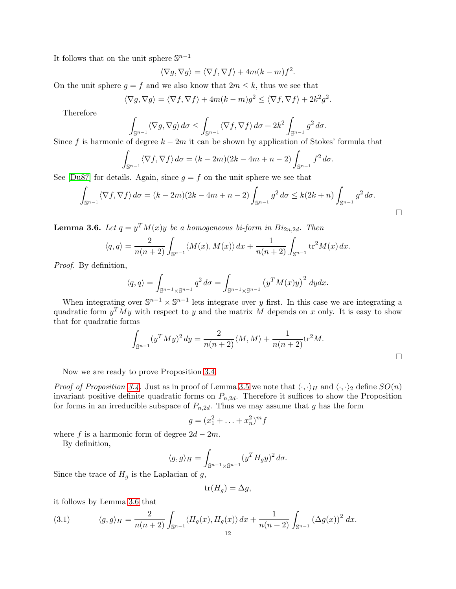It follows that on the unit sphere  $\mathbb{S}^{n-1}$ 

$$
\langle \nabla g, \nabla g \rangle = \langle \nabla f, \nabla f \rangle + 4m(k - m)f^2.
$$

On the unit sphere  $g = f$  and we also know that  $2m \leq k$ , thus we see that

$$
\langle \nabla g, \nabla g \rangle = \langle \nabla f, \nabla f \rangle + 4m(k - m)g^2 \le \langle \nabla f, \nabla f \rangle + 2k^2 g^2.
$$

Therefore

$$
\int_{\mathbb{S}^{n-1}} \langle \nabla g, \nabla g \rangle d\sigma \le \int_{\mathbb{S}^{n-1}} \langle \nabla f, \nabla f \rangle d\sigma + 2k^2 \int_{\mathbb{S}^{n-1}} g^2 d\sigma.
$$

Since f is harmonic of degree  $k - 2m$  it can be shown by application of Stokes' formula that

$$
\int_{\mathbb{S}^{n-1}} \langle \nabla f, \nabla f \rangle d\sigma = (k - 2m)(2k - 4m + n - 2) \int_{\mathbb{S}^{n-1}} f^2 d\sigma.
$$

See [\[Du87\]](#page-12-5) for details. Again, since  $g = f$  on the unit sphere we see that

$$
\int_{\mathbb{S}^{n-1}} \langle \nabla f, \nabla f \rangle d\sigma = (k-2m)(2k-4m+n-2) \int_{\mathbb{S}^{n-1}} g^2 d\sigma \le k(2k+n) \int_{\mathbb{S}^{n-1}} g^2 d\sigma.
$$

<span id="page-11-0"></span>**Lemma 3.6.** Let  $q = y^T M(x)y$  be a homogeneous bi-form in  $Bi_{2n,2d}$ . Then

$$
\langle q, q \rangle = \frac{2}{n(n+2)} \int_{\mathbb{S}^{n-1}} \langle M(x), M(x) \rangle dx + \frac{1}{n(n+2)} \int_{\mathbb{S}^{n-1}} \text{tr}^2 M(x) dx.
$$

Proof. By definition,

$$
\langle q, q \rangle = \int_{\mathbb{S}^{n-1} \times \mathbb{S}^{n-1}} q^2 d\sigma = \int_{\mathbb{S}^{n-1} \times \mathbb{S}^{n-1}} \left( y^T M(x) y \right)^2 dy dx.
$$

When integrating over  $\mathbb{S}^{n-1} \times \mathbb{S}^{n-1}$  lets integrate over y first. In this case we are integrating a quadratic form  $y^T M y$  with respect to y and the matrix M depends on x only. It is easy to show that for quadratic forms

$$
\int_{\mathbb{S}^{n-1}} (y^T M y)^2 dy = \frac{2}{n(n+2)} \langle M, M \rangle + \frac{1}{n(n+2)} \text{tr}^2 M.
$$

Now we are ready to prove Proposition [3.4.](#page-10-1)

*Proof of Proposition [3.4.](#page-10-1)* Just as in proof of Lemma [3.5](#page-10-2) we note that  $\langle \cdot, \cdot \rangle_H$  and  $\langle \cdot, \cdot \rangle_2$  define  $SO(n)$ invariant positive definite quadratic forms on  $P_{n,2d}$ . Therefore it suffices to show the Proposition for forms in an irreducible subspace of  $P_{n,2d}$ . Thus we may assume that g has the form

$$
g = (x_1^2 + \ldots + x_n^2)^m f
$$

where f is a harmonic form of degree  $2d - 2m$ .

By definition,

$$
\langle g, g \rangle_H = \int_{\mathbb{S}^{n-1} \times \mathbb{S}^{n-1}} (y^T H_g y)^2 d\sigma.
$$

Since the trace of  $H<sub>g</sub>$  is the Laplacian of g,

$$
\text{tr}(H_g) = \Delta g,
$$

it follows by Lemma [3.6](#page-11-0) that

<span id="page-11-1"></span>(3.1) 
$$
\langle g, g \rangle_H = \frac{2}{n(n+2)} \int_{\mathbb{S}^{n-1}} \langle H_g(x), H_g(x) \rangle dx + \frac{1}{n(n+2)} \int_{\mathbb{S}^{n-1}} (\Delta g(x))^2 dx.
$$